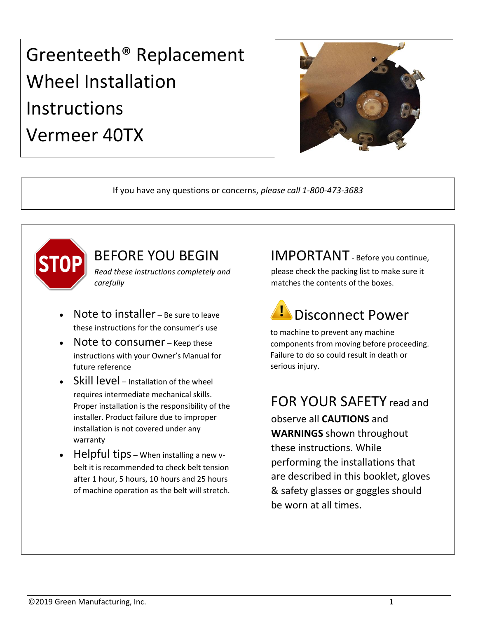# Greenteeth® Replacement Wheel Installation Instructions Vermeer 40TX



If you have any questions or concerns, *please call 1-800-473-3683*



# BEFORE YOU BEGIN

*Read these instructions completely and carefully*

- Note to installer Be sure to leave these instructions for the consumer's use
- Note to consumer Keep these instructions with your Owner's Manual for future reference
- Skill level Installation of the wheel requires intermediate mechanical skills. Proper installation is the responsibility of the installer. Product failure due to improper installation is not covered under any warranty
- Helpful tips When installing a new vbelt it is recommended to check belt tension after 1 hour, 5 hours, 10 hours and 25 hours of machine operation as the belt will stretch.

### IMPORTANT - Before you continue,

please check the packing list to make sure it matches the contents of the boxes.

# Disconnect Power

to machine to prevent any machine components from moving before proceeding. Failure to do so could result in death or serious injury.

# FOR YOUR SAFETY read and

observe all **CAUTIONS** and **WARNINGS** shown throughout these instructions. While performing the installations that are described in this booklet, gloves & safety glasses or goggles should be worn at all times.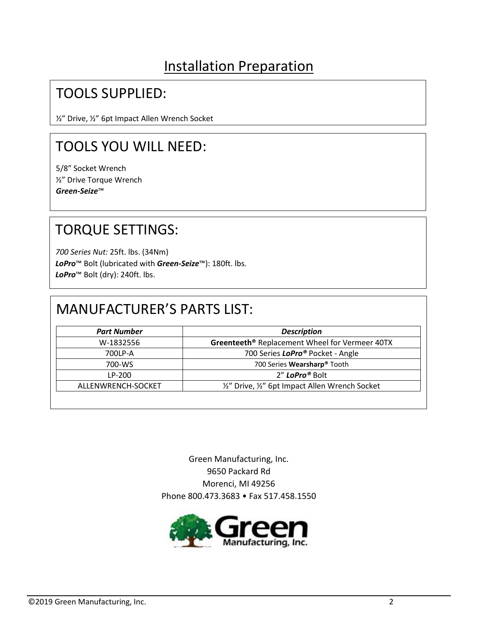# Installation Preparation

### TOOLS SUPPLIED:

½" Drive, ½" 6pt Impact Allen Wrench Socket

# TOOLS YOU WILL NEED:

5/8" Socket Wrench ½" Drive Torque Wrench *Green-Seize*™

# TORQUE SETTINGS:

*700 Series Nut:* 25ft. lbs. (34Nm) *LoPro*™ Bolt (lubricated with *Green-Seize*™): 180ft. lbs. *LoPro*™ Bolt (dry): 240ft. lbs.

### MANUFACTURER'S PARTS LIST:

| <b>Part Number</b> | <b>Description</b>                                         |
|--------------------|------------------------------------------------------------|
| W-1832556          | Greenteeth <sup>®</sup> Replacement Wheel for Vermeer 40TX |
| 700LP-A            | 700 Series LoPro <sup>®</sup> Pocket - Angle               |
| 700-WS             | 700 Series Wearsharp <sup>®</sup> Tooth                    |
| LP-200             | 2" LoPro® Bolt                                             |
| ALLENWRENCH-SOCKET | 1/2" Drive, 1/2" 6pt Impact Allen Wrench Socket            |

Green Manufacturing, Inc. 9650 Packard Rd Morenci, MI 49256 Phone 800.473.3683 • Fax 517.458.1550

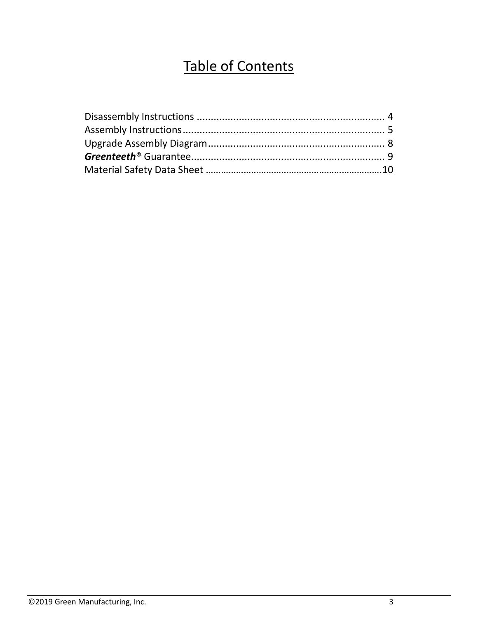# Table of Contents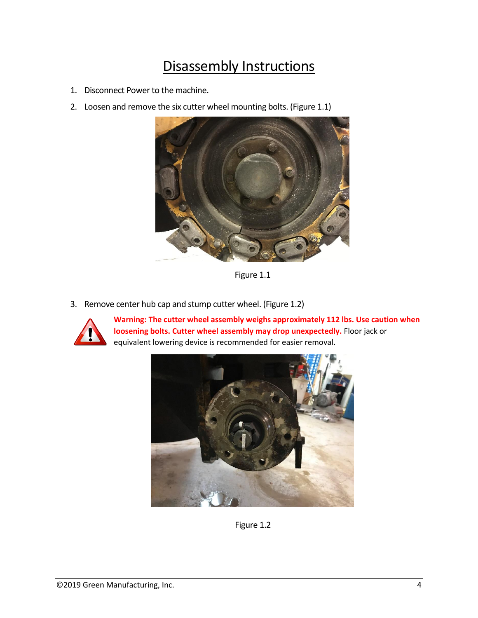# Disassembly Instructions

- 1. Disconnect Power to the machine.
- 2. Loosen and remove the six cutter wheel mounting bolts. (Figure 1.1)



Figure 1.1

3. Remove center hub cap and stump cutter wheel. (Figure 1.2)



**Warning: The cutter wheel assembly weighs approximately 112 lbs. Use caution when loosening bolts. Cutter wheel assembly may drop unexpectedly.** Floor jack or equivalent lowering device is recommended for easier removal.



Figure 1.2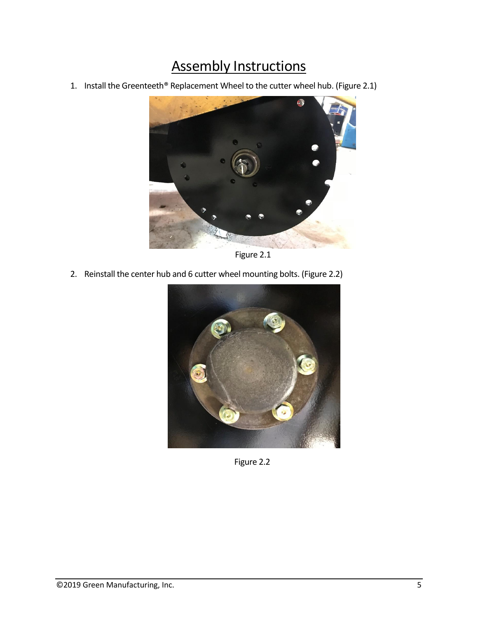# Assembly Instructions

1. Install the Greenteeth® Replacement Wheel to the cutter wheel hub. (Figure 2.1)



Figure 2.1

2. Reinstall the center hub and 6 cutter wheel mounting bolts. (Figure 2.2)



Figure 2.2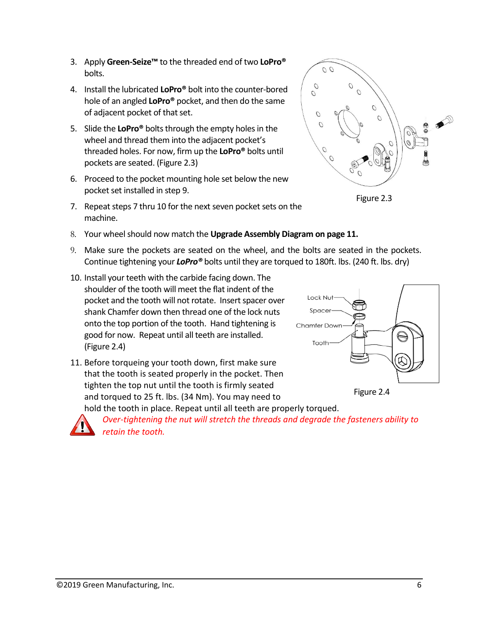- 3. Apply **Green-Seize™** to the threaded end of two **LoPro®** bolts.
- 4. Install the lubricated **LoPro®** bolt into the counter-bored hole of an angled **LoPro®** pocket, and then do the same of adjacent pocket of that set.
- 5. Slide the **LoPro®** bolts through the empty holes in the wheel and thread them into the adjacent pocket's threaded holes. For now, firm up the **LoPro®** bolts until pockets are seated. (Figure 2.3)
- 6. Proceed to the pocket mounting hole set below the new pocket set installed in step 9.
- 7. Repeat steps 7 thru 10 for the next seven pocket sets on the machine.
- 8. Your wheel should now match the **Upgrade Assembly Diagram on page 11.**
- 9. Make sure the pockets are seated on the wheel, and the bolts are seated in the pockets. Continue tightening your *LoPro®* bolts until they are torqued to 180ft. lbs. (240 ft. lbs. dry)
- 10. Install your teeth with the carbide facing down. The shoulder of the tooth will meet the flat indent of the pocket and the tooth will not rotate. Insert spacer over shank Chamfer down then thread one of the lock nuts onto the top portion of the tooth. Hand tightening is good for now. Repeat until all teeth are installed. (Figure 2.4)
- 11. Before torqueing your tooth down, first make sure that the tooth is seated properly in the pocket. Then tighten the top nut until the tooth is firmly seated and torqued to 25 ft. lbs. (34 Nm). You may need to hold the tooth in place. Repeat until all teeth are properly torqued.

*Over-tightening the nut will stretch the threads and degrade the fasteners ability to retain the tooth.* 



 $\overline{O}$ 

 $\overline{O}$ 

 $\overline{O}$ 

O  $\overline{O}$ 

O

 $\overline{O}$ 

 $\overline{O}$ 



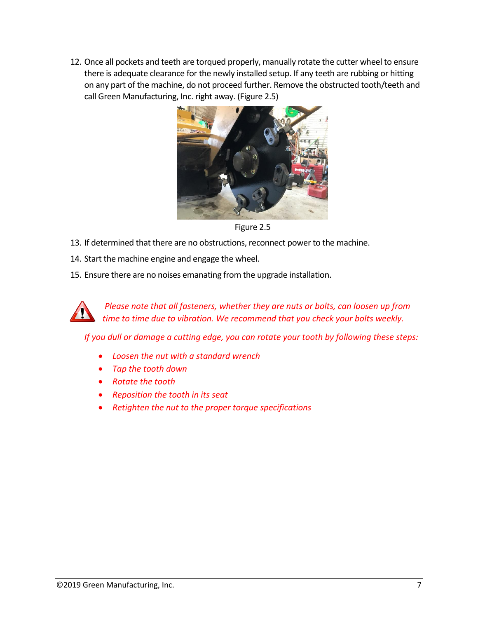12. Once all pockets and teeth are torqued properly, manually rotate the cutter wheel to ensure there is adequate clearance for the newly installed setup. If any teeth are rubbing or hitting on any part of the machine, do not proceed further. Remove the obstructed tooth/teeth and call Green Manufacturing, Inc. right away. (Figure 2.5)



Figure 2.5

- 13. If determined that there are no obstructions, reconnect power to the machine.
- 14. Start the machine engine and engage the wheel.
- 15. Ensure there are no noises emanating from the upgrade installation.

*Please note that all fasteners, whether they are nuts or bolts, can loosen up from time to time due to vibration. We recommend that you check your bolts weekly.*

*If you dull or damage a cutting edge, you can rotate your tooth by following these steps:* 

- *Loosen the nut with a standard wrench*
- *Tap the tooth down*
- *Rotate the tooth*
- *Reposition the tooth in its seat*
- *Retighten the nut to the proper torque specifications*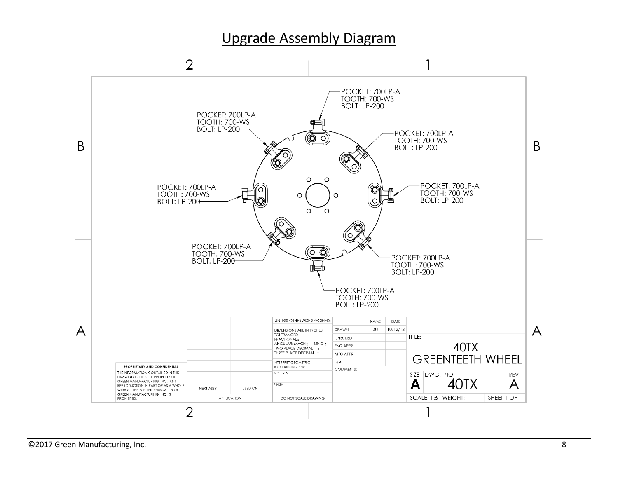### Upgrade Assembly Diagram

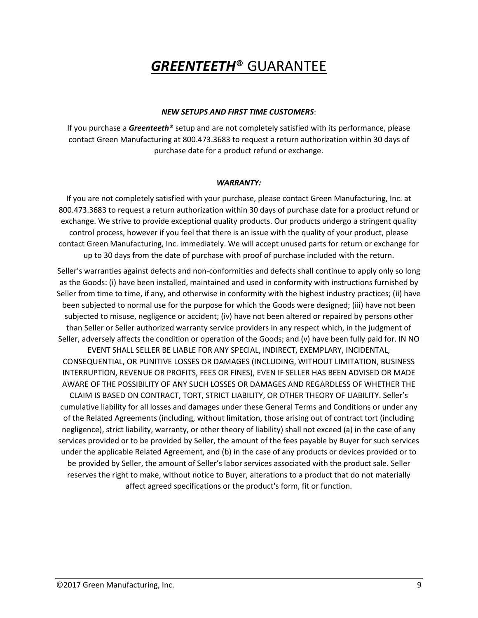# *GREENTEETH*® GUARANTEE

### *NEW SETUPS AND FIRST TIME CUSTOMERS*:

If you purchase a *Greenteeth*® setup and are not completely satisfied with its performance, please contact Green Manufacturing at 800.473.3683 to request a return authorization within 30 days of purchase date for a product refund or exchange.

#### *WARRANTY:*

If you are not completely satisfied with your purchase, please contact Green Manufacturing, Inc. at 800.473.3683 to request a return authorization within 30 days of purchase date for a product refund or exchange. We strive to provide exceptional quality products. Our products undergo a stringent quality control process, however if you feel that there is an issue with the quality of your product, please contact Green Manufacturing, Inc. immediately. We will accept unused parts for return or exchange for up to 30 days from the date of purchase with proof of purchase included with the return.

Seller's warranties against defects and non-conformities and defects shall continue to apply only so long as the Goods: (i) have been installed, maintained and used in conformity with instructions furnished by Seller from time to time, if any, and otherwise in conformity with the highest industry practices; (ii) have been subjected to normal use for the purpose for which the Goods were designed; (iii) have not been subjected to misuse, negligence or accident; (iv) have not been altered or repaired by persons other than Seller or Seller authorized warranty service providers in any respect which, in the judgment of Seller, adversely affects the condition or operation of the Goods; and (v) have been fully paid for. IN NO EVENT SHALL SELLER BE LIABLE FOR ANY SPECIAL, INDIRECT, EXEMPLARY, INCIDENTAL, CONSEQUENTIAL, OR PUNITIVE LOSSES OR DAMAGES (INCLUDING, WITHOUT LIMITATION, BUSINESS INTERRUPTION, REVENUE OR PROFITS, FEES OR FINES), EVEN IF SELLER HAS BEEN ADVISED OR MADE AWARE OF THE POSSIBILITY OF ANY SUCH LOSSES OR DAMAGES AND REGARDLESS OF WHETHER THE CLAIM IS BASED ON CONTRACT, TORT, STRICT LIABILITY, OR OTHER THEORY OF LIABILITY. Seller's cumulative liability for all losses and damages under these General Terms and Conditions or under any of the Related Agreements (including, without limitation, those arising out of contract tort (including negligence), strict liability, warranty, or other theory of liability) shall not exceed (a) in the case of any services provided or to be provided by Seller, the amount of the fees payable by Buyer for such services under the applicable Related Agreement, and (b) in the case of any products or devices provided or to be provided by Seller, the amount of Seller's labor services associated with the product sale. Seller reserves the right to make, without notice to Buyer, alterations to a product that do not materially affect agreed specifications or the product's form, fit or function.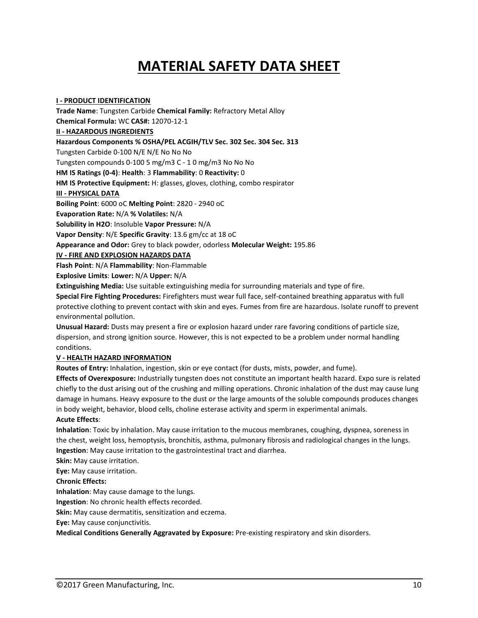# **MATERIAL SAFETY DATA SHEET**

**I - PRODUCT IDENTIFICATION Trade Name**: Tungsten Carbide **Chemical Family:** Refractory Metal Alloy **Chemical Formula:** WC **CAS#:** 12070-12-1 **II - HAZARDOUS INGREDIENTS Hazardous Components % OSHA/PEL ACGIH/TLV Sec. 302 Sec. 304 Sec. 313** Tungsten Carbide 0-100 N/E N/E No No No Tungsten compounds 0-100 5 mg/m3 C - 1 0 mg/m3 No No No **HM IS Ratings (0-4)**: **Health**: 3 **Flammability**: 0 **Reactivity:** 0 **HM IS Protective Equipment:** H: glasses, gloves, clothing, combo respirator **III - PHYSICAL DATA Boiling Point**: 6000 oC **Melting Point**: 2820 - 2940 oC **Evaporation Rate:** N/A **% Volatiles:** N/A **Solubility in H2O**: Insoluble **Vapor Pressure:** N/A **Vapor Density**: N/E **Specific Gravity**: 13.6 gm/cc at 18 oC **Appearance and Odor:** Grey to black powder, odorless **Molecular Weight:** 195.86 **IV - FIRE AND EXPLOSION HAZARDS DATA Flash Point**: N/A **Flammability**: Non-Flammable

**Explosive Limits**: **Lower:** N/A **Upper:** N/A

**Extinguishing Media:** Use suitable extinguishing media for surrounding materials and type of fire.

**Special Fire Fighting Procedures:** Firefighters must wear full face, self-contained breathing apparatus with full protective clothing to prevent contact with skin and eyes. Fumes from fire are hazardous. Isolate runoff to prevent environmental pollution.

**Unusual Hazard:** Dusts may present a fire or explosion hazard under rare favoring conditions of particle size, dispersion, and strong ignition source. However, this is not expected to be a problem under normal handling conditions.

### **V - HEALTH HAZARD INFORMATION**

**Routes of Entry:** Inhalation, ingestion, skin or eye contact (for dusts, mists, powder, and fume).

**Effects of Overexposure:** Industrially tungsten does not constitute an important health hazard. Expo sure is related chiefly to the dust arising out of the crushing and milling operations. Chronic inhalation of the dust may cause lung damage in humans. Heavy exposure to the dust or the large amounts of the soluble compounds produces changes in body weight, behavior, blood cells, choline esterase activity and sperm in experimental animals.

### **Acute Effects**:

**Inhalation**: Toxic by inhalation. May cause irritation to the mucous membranes, coughing, dyspnea, soreness in the chest, weight loss, hemoptysis, bronchitis, asthma, pulmonary fibrosis and radiological changes in the lungs. **Ingestion**: May cause irritation to the gastrointestinal tract and diarrhea.

**Skin:** May cause irritation.

**Eye:** May cause irritation.

**Chronic Effects:**

**Inhalation**: May cause damage to the lungs.

**Ingestion**: No chronic health effects recorded.

**Skin:** May cause dermatitis, sensitization and eczema.

**Eye:** May cause conjunctivitis.

**Medical Conditions Generally Aggravated by Exposure:** Pre-existing respiratory and skin disorders.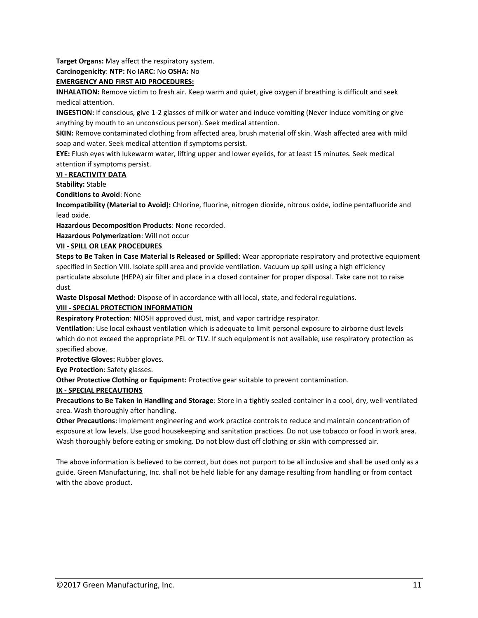**Target Organs:** May affect the respiratory system.

**Carcinogenicity**: **NTP:** No **IARC:** No **OSHA:** No

### **EMERGENCY AND FIRST AID PROCEDURES:**

**INHALATION:** Remove victim to fresh air. Keep warm and quiet, give oxygen if breathing is difficult and seek medical attention.

**INGESTION:** If conscious, give 1-2 glasses of milk or water and induce vomiting (Never induce vomiting or give anything by mouth to an unconscious person). Seek medical attention.

**SKIN:** Remove contaminated clothing from affected area, brush material off skin. Wash affected area with mild soap and water. Seek medical attention if symptoms persist.

**EYE:** Flush eyes with lukewarm water, lifting upper and lower eyelids, for at least 15 minutes. Seek medical attention if symptoms persist.

#### **VI - REACTIVITY DATA**

**Stability:** Stable

**Conditions to Avoid**: None

**Incompatibility (Material to Avoid):** Chlorine, fluorine, nitrogen dioxide, nitrous oxide, iodine pentafluoride and lead oxide.

**Hazardous Decomposition Products**: None recorded.

**Hazardous Polymerization**: Will not occur

#### **VII - SPILL OR LEAK PROCEDURES**

**Steps to Be Taken in Case Material Is Released or Spilled**: Wear appropriate respiratory and protective equipment specified in Section VIII. Isolate spill area and provide ventilation. Vacuum up spill using a high efficiency particulate absolute (HEPA) air filter and place in a closed container for proper disposal. Take care not to raise dust.

**Waste Disposal Method:** Dispose of in accordance with all local, state, and federal regulations.

### **VIII - SPECIAL PROTECTION INFORMATION**

**Respiratory Protection**: NIOSH approved dust, mist, and vapor cartridge respirator.

**Ventilation**: Use local exhaust ventilation which is adequate to limit personal exposure to airborne dust levels which do not exceed the appropriate PEL or TLV. If such equipment is not available, use respiratory protection as specified above.

**Protective Gloves:** Rubber gloves.

**Eye Protection**: Safety glasses.

**Other Protective Clothing or Equipment:** Protective gear suitable to prevent contamination.

### **IX - SPECIAL PRECAUTIONS**

**Precautions to Be Taken in Handling and Storage**: Store in a tightly sealed container in a cool, dry, well-ventilated area. Wash thoroughly after handling.

**Other Precautions**: Implement engineering and work practice controls to reduce and maintain concentration of exposure at low levels. Use good housekeeping and sanitation practices. Do not use tobacco or food in work area. Wash thoroughly before eating or smoking. Do not blow dust off clothing or skin with compressed air.

The above information is believed to be correct, but does not purport to be all inclusive and shall be used only as a guide. Green Manufacturing, Inc. shall not be held liable for any damage resulting from handling or from contact with the above product.